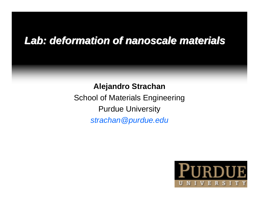## *Lab: deformation of Lab: deformation of nanoscale nanoscale materials materials*

**Alejandro Strachan** School of Materials Engineering Purdue University *strachan@purdue.edu*

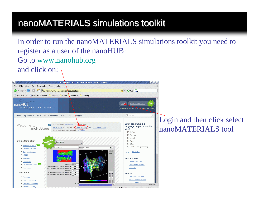## nanoMATERIALS simulations toolkit

In order to run the nanoMATERIALS simulations toolkit you need to register as a user of the nanoHUB: Go to [www.nanohub.org](http://www.nanohub.org/) and click on:

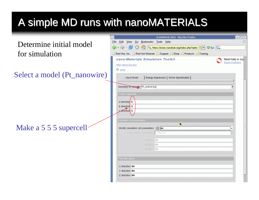# A simple MD runs with nanoMATERIALS

Determine initial model for simulation

Select a model (Pt\_nanowire)

Make a 5 5 5 supercell

| NANOHUB.ORG - Mozilla Firefox                                           | $=$ $\parallel$ $=$ $\parallel$ $\times$ |
|-------------------------------------------------------------------------|------------------------------------------|
| File Edit View Go Bookmarks Tools Help                                  |                                          |
|                                                                         |                                          |
| Red Hat, Inc. Red Hat Network Support B Shop <b>D</b> Products Training |                                          |
| nano-Materials Simulation Toolkit                                       | Need help or sup-                        |
| FAQ   About this tool                                                   | <b>Report Problems</b>                   |
| C close                                                                 |                                          |
|                                                                         |                                          |
| Energy Expression   Driver Specification  <br>Input Model               |                                          |
|                                                                         |                                          |
| Geometry to simulate: Pt_unitcell.bgf                                   | $\overline{\phantom{a}}$                 |
| Create Supercell                                                        |                                          |
|                                                                         |                                          |
| a direction: 5                                                          |                                          |
| b direction: 5<br>ceffrection 5                                         |                                          |
|                                                                         |                                          |
| Simulation cell parameters                                              |                                          |
| ĸ                                                                       |                                          |
| Modify simulation cell parameters: 0 no                                 | ▼                                        |
| Fixed atomic coordinates: Cartesian                                     |                                          |
|                                                                         |                                          |
|                                                                         |                                          |
| Length as 5A                                                            |                                          |
| Length b: 5A<br>Length c: 5A                                            |                                          |
|                                                                         |                                          |
| Translate atoms                                                         |                                          |
|                                                                         |                                          |
| X direction: 0A                                                         |                                          |
| Y direction: 0A<br>Z direction: 0A                                      |                                          |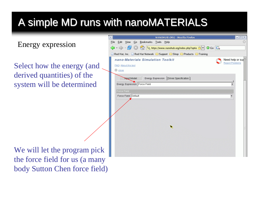# A simple MD runs with nanoMATERIALS

Energy expression

Select how the energy (and derived quantities) of the system will be determined

| <b>NANOHUB.ORG - Mozilla Firefox</b>                                                             | $ \boxed{0}$ $\boxed{\times}$ |
|--------------------------------------------------------------------------------------------------|-------------------------------|
| ile Edit View Go Bookmarks Tools Help                                                            | ٠                             |
| S <1 5. https://www.nanohub.org/index.php?optio 8 v Co G<br>$\Box \cdot \bigcirc \cdot \bigcirc$ |                               |
| Red Hat, Inc. Red Hat Network Support Shop SProducts Training                                    |                               |
| nano-Materials Simulation Toolkit                                                                | Need help or sup              |
| FAQ   About this tool                                                                            | <b>Report Problems</b>        |
| C close                                                                                          |                               |
| Energy Expression   Driver Specification  <br><b>Thput Model</b>                                 |                               |
| Energy Expression: Force Field                                                                   |                               |
|                                                                                                  |                               |
| Force Field                                                                                      |                               |
| Force Field: Default                                                                             | $\overline{\phantom{a}}$      |
|                                                                                                  |                               |
|                                                                                                  |                               |
|                                                                                                  |                               |
|                                                                                                  |                               |
|                                                                                                  |                               |
| ĸ                                                                                                |                               |
|                                                                                                  |                               |
|                                                                                                  |                               |
|                                                                                                  |                               |
|                                                                                                  |                               |
|                                                                                                  |                               |

We will let the program pick the force field for us (a many body Sutton Chen force field)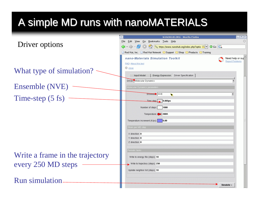# A simple MD runs with nanoMATERIALS

|                                 | $\blacktriangledown$<br>NANOHUB.ORG - Mozilla Firefox                                                                                                                                                                                                                                                     | $\Box$ $\Box$ $\times$        |
|---------------------------------|-----------------------------------------------------------------------------------------------------------------------------------------------------------------------------------------------------------------------------------------------------------------------------------------------------------|-------------------------------|
|                                 | File Edit View Go Bookmarks Tools Help                                                                                                                                                                                                                                                                    |                               |
| Driver options                  |                                                                                                                                                                                                                                                                                                           |                               |
|                                 | Red Hat, Inc. Red Hat Network Support Shop Products Training                                                                                                                                                                                                                                              |                               |
|                                 | nano-Materials Simulation Toolkit                                                                                                                                                                                                                                                                         | Need help or sup <sup>*</sup> |
|                                 | FAQ   About this tool                                                                                                                                                                                                                                                                                     | <b>Report Problems</b>        |
| What type of simulation?        | <b>B</b> close                                                                                                                                                                                                                                                                                            |                               |
|                                 | Energy Expression Driver Specification<br>Input Model                                                                                                                                                                                                                                                     |                               |
|                                 | Driver: Molecular Dynamics                                                                                                                                                                                                                                                                                |                               |
| Ensemble (NVE)                  | Molecular Dynamics parameters                                                                                                                                                                                                                                                                             |                               |
|                                 | Ensemble NVE<br>R                                                                                                                                                                                                                                                                                         |                               |
| Time-step $(5 \text{ fs})$      | $\frac{1}{2}$ = $\frac{1}{2}$ = $\frac{1}{2}$ = $\frac{1}{2}$ = $\frac{1}{2}$ = $\frac{1}{2}$ = $\frac{1}{2}$ = $\frac{1}{2}$ = $\frac{1}{2}$ = $\frac{1}{2}$ = $\frac{1}{2}$ = $\frac{1}{2}$ = $\frac{1}{2}$ = $\frac{1}{2}$ = $\frac{1}{2}$ = $\frac{1}{2}$ = $\frac{1}{2}$ = $\frac{1}{2}$ = $\frac{1$ |                               |
|                                 | Number of steps:    1000                                                                                                                                                                                                                                                                                  |                               |
|                                 |                                                                                                                                                                                                                                                                                                           |                               |
|                                 | Temperature: 300K                                                                                                                                                                                                                                                                                         |                               |
|                                 | Temperature increment (K/ps): 0.00                                                                                                                                                                                                                                                                        |                               |
|                                 | Strain per MD step                                                                                                                                                                                                                                                                                        |                               |
|                                 | X direction: 0                                                                                                                                                                                                                                                                                            |                               |
|                                 | Y direction: 0                                                                                                                                                                                                                                                                                            |                               |
|                                 | Z direction: 0                                                                                                                                                                                                                                                                                            |                               |
|                                 | Periodic tasks                                                                                                                                                                                                                                                                                            |                               |
| Write a frame in the trajectory | Write to energy file (steps): 10                                                                                                                                                                                                                                                                          |                               |
| every 250 MD steps              | Write to trajectory (steps): 250                                                                                                                                                                                                                                                                          |                               |
|                                 | Update neighbor list (steps): 10                                                                                                                                                                                                                                                                          |                               |
|                                 |                                                                                                                                                                                                                                                                                                           |                               |
| <b>Run simulation</b>           |                                                                                                                                                                                                                                                                                                           | Simulate >                    |
|                                 |                                                                                                                                                                                                                                                                                                           |                               |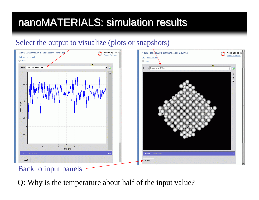# nanoMATERIALS: simulation results

#### Select the output to visualize (plots or snapshots)



#### Back to input panels

Q: Why is the temperature about half of the input value?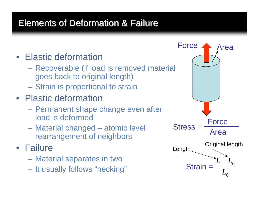## Elements of Deformation & Failure

## • Elastic deformation

- Recoverable (if load is removed material goes back to original length)
- **Hart Communication** Strain is proportional to strain
- Plastic deformation
	- Permanent shape change even after load is deformed
	- Material changed atomic level rearrangement of neighbors

• Failure

- Material separates in two
- It usually follows "necking"

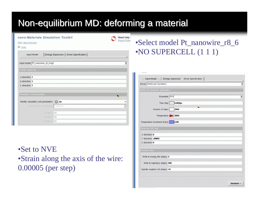## Non-equilibrium MD: deforming a material

Need help Report Proble

| nano-Materials Simulation Toolkit |  |
|-----------------------------------|--|
|                                   |  |

#### FAQ | About this tool

**C**close

| Input Model                             | Energy Expression   Driver Specification |
|-----------------------------------------|------------------------------------------|
| Input model: Pt_nanowire_r8_6.bgf       |                                          |
| Create Supercell                        |                                          |
| a direction: 1                          |                                          |
| b direction: 1                          |                                          |
| c direction: 1                          |                                          |
| Simulation cell parameters              | ĸ                                        |
| Modify simulation cell parameters: 0 no |                                          |
| Fixed atomic coordinates: Cartesian     |                                          |
| Length a: 5A                            |                                          |
| Length b: 5A                            |                                          |
| Length c: 5A                            |                                          |

•Set to NVE •Strain along the axis of the wire: 0.00005 (per step)

### •Select model Pt\_nanowire\_r8\_6 •NO SUPERCELL (1 1 1)

| Driver: Molecular Dynamics            |                          |
|---------------------------------------|--------------------------|
| Molecular Dynamics parameters         |                          |
| Ensemble: NVE                         | $\overline{\phantom{a}}$ |
| $ 0.005$ ps<br>Time step:             |                          |
| Number of steps:<br>2000              |                          |
| Temperature: 300K                     |                          |
| Temperature increment (K/ps):<br>0.00 |                          |
| Strain per MD step                    |                          |
| X direction: 0                        |                          |
| Y direction: .00005                   |                          |
| Z direction: 0                        |                          |
| Periodic tasks                        |                          |
| Write to energy file (steps): 5       |                          |
| Write to trajectory (steps): 500      |                          |
| Update neighbor list (steps): 10      |                          |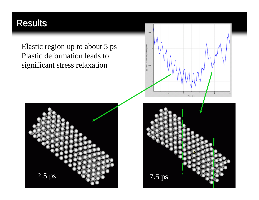## Results

Elastic region up to about 5 ps Plastic deformation leads to significant stress relaxation





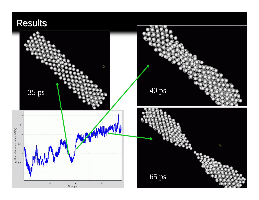## Results

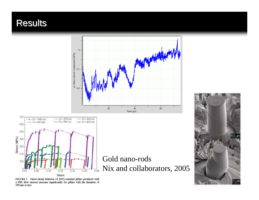### Results





#### Gold nano-rods Nix and collaborators, 2005

FIGURE 3 Stress-strain behavior of (001)-oriented pillars produced with a FIB: flow stresses increase significantly for pillars with the diameter of 500 nm or less